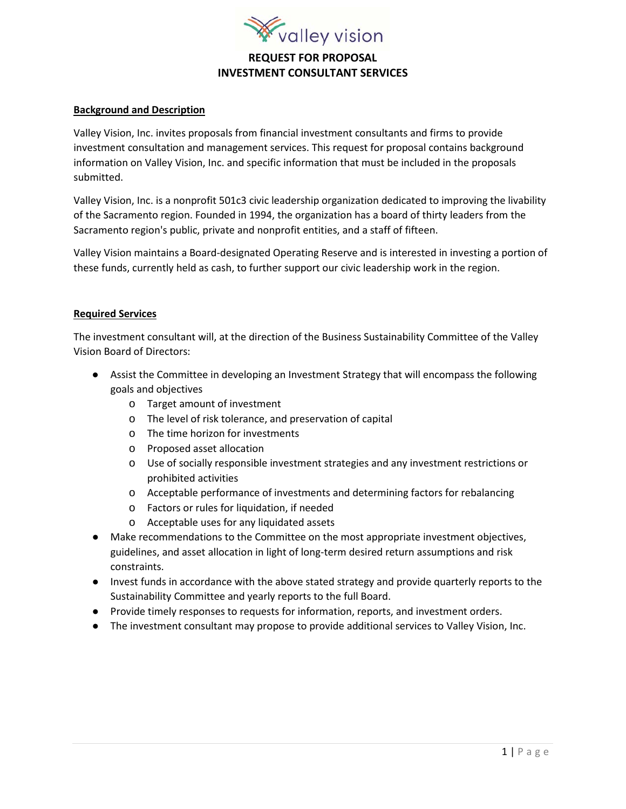

# **REQUEST FOR PROPOSAL INVESTMENT CONSULTANT SERVICES**

### **Background and Description**

Valley Vision, Inc. invites proposals from financial investment consultants and firms to provide investment consultation and management services. This request for proposal contains background information on Valley Vision, Inc. and specific information that must be included in the proposals submitted.

Valley Vision, Inc. is a nonprofit 501c3 civic leadership organization dedicated to improving the livability of the Sacramento region. Founded in 1994, the organization has a board of thirty leaders from the Sacramento region's public, private and nonprofit entities, and a staff of fifteen.

Valley Vision maintains a Board-designated Operating Reserve and is interested in investing a portion of these funds, currently held as cash, to further support our civic leadership work in the region.

#### **Required Services**

The investment consultant will, at the direction of the Business Sustainability Committee of the Valley Vision Board of Directors:

- Assist the Committee in developing an Investment Strategy that will encompass the following goals and objectives
	- o Target amount of investment
	- o The level of risk tolerance, and preservation of capital
	- o The time horizon for investments
	- o Proposed asset allocation
	- o Use of socially responsible investment strategies and any investment restrictions or prohibited activities
	- o Acceptable performance of investments and determining factors for rebalancing
	- o Factors or rules for liquidation, if needed
	- o Acceptable uses for any liquidated assets
- Make recommendations to the Committee on the most appropriate investment objectives, guidelines, and asset allocation in light of long-term desired return assumptions and risk constraints.
- Invest funds in accordance with the above stated strategy and provide quarterly reports to the Sustainability Committee and yearly reports to the full Board.
- Provide timely responses to requests for information, reports, and investment orders.
- The investment consultant may propose to provide additional services to Valley Vision, Inc.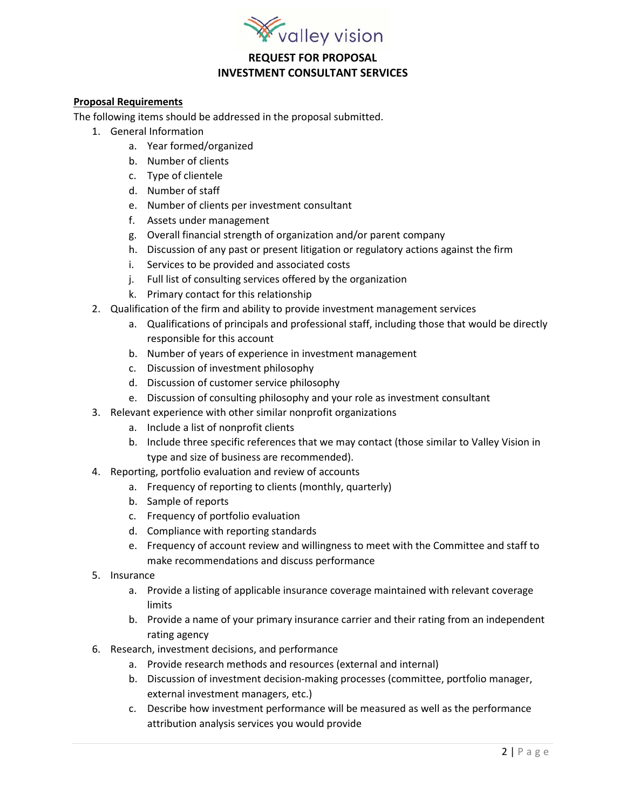

### **REQUEST FOR PROPOSAL INVESTMENT CONSULTANT SERVICES**

#### **Proposal Requirements**

The following items should be addressed in the proposal submitted.

- 1. General Information
	- a. Year formed/organized
	- b. Number of clients
	- c. Type of clientele
	- d. Number of staff
	- e. Number of clients per investment consultant
	- f. Assets under management
	- g. Overall financial strength of organization and/or parent company
	- h. Discussion of any past or present litigation or regulatory actions against the firm
	- i. Services to be provided and associated costs
	- j. Full list of consulting services offered by the organization
	- k. Primary contact for this relationship
- 2. Qualification of the firm and ability to provide investment management services
	- a. Qualifications of principals and professional staff, including those that would be directly responsible for this account
	- b. Number of years of experience in investment management
	- c. Discussion of investment philosophy
	- d. Discussion of customer service philosophy
	- e. Discussion of consulting philosophy and your role as investment consultant
- 3. Relevant experience with other similar nonprofit organizations
	- a. Include a list of nonprofit clients
	- b. Include three specific references that we may contact (those similar to Valley Vision in type and size of business are recommended).
- 4. Reporting, portfolio evaluation and review of accounts
	- a. Frequency of reporting to clients (monthly, quarterly)
	- b. Sample of reports
	- c. Frequency of portfolio evaluation
	- d. Compliance with reporting standards
	- e. Frequency of account review and willingness to meet with the Committee and staff to make recommendations and discuss performance
- 5. Insurance
	- a. Provide a listing of applicable insurance coverage maintained with relevant coverage limits
	- b. Provide a name of your primary insurance carrier and their rating from an independent rating agency
- 6. Research, investment decisions, and performance
	- a. Provide research methods and resources (external and internal)
	- b. Discussion of investment decision-making processes (committee, portfolio manager, external investment managers, etc.)
	- c. Describe how investment performance will be measured as well as the performance attribution analysis services you would provide